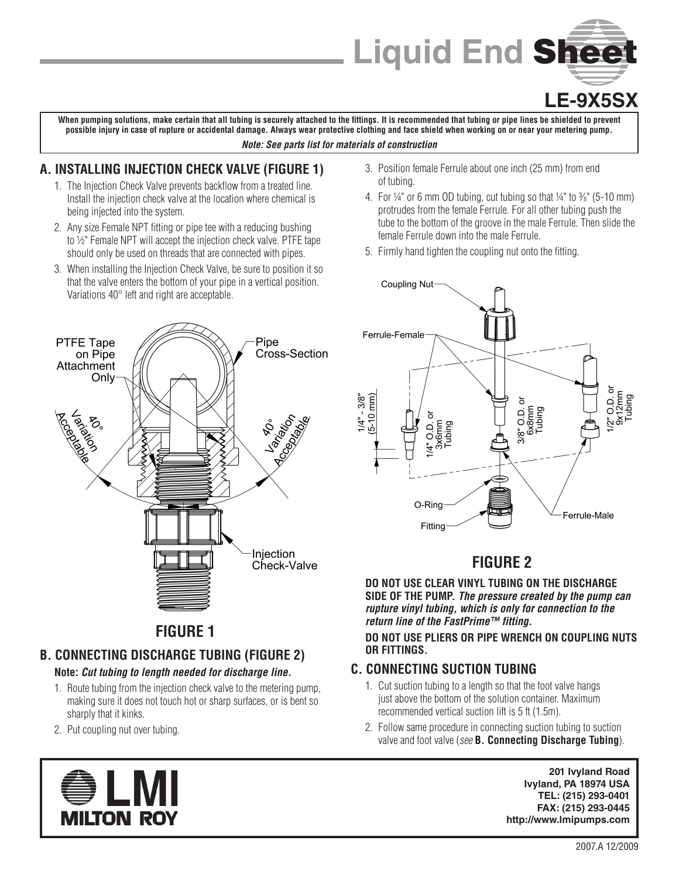# **Liquid End** Sheet

# **LE-9X5SX**

**When pumping solutions, make certain that all tubing is securely attached to the fittings. It is recommended that tubing or pipe lines be shielded to prevent possible injury in case of rupture or accidental damage. Always wear protective clothing and face shield when working on or near your metering pump.**

#### *Note: See parts list for materials of construction*

### **A. INSTALLING INJECTION CHECK VALVE (FIGURE 1)**

- 1. The Injection Check Valve prevents backflow from a treated line. Install the injection check valve at the location where chemical is being injected into the system.
- 2. Any size Female NPT fitting or pipe tee with a reducing bushing to ½" Female NPT will accept the injection check valve. PTFE tape should only be used on threads that are connected with pipes.
- 3. When installing the Injection Check Valve, be sure to position it so that the valve enters the bottom of your pipe in a vertical position. Variations 40° left and right are acceptable.
- Pipe **PTFE Tape** on Pipe Cross-Section Attachment Only Janescom Larision Aristics  $\mathcal{F}_{\mathcal{O}_\mathrm{o}}$ Š Iniection Check-Valve

# **FIGURE 1**

## **B. CONNECTING DISCHARGE TUBING (FIGURE 2)**

### **Note:** *Cut tubing to length needed for discharge line.*

- 1. Route tubing from the injection check valve to the metering pump, making sure it does not touch hot or sharp surfaces, or is bent so sharply that it kinks.
- 2. Put coupling nut over tubing.



- 3. Position female Ferrule about one inch (25 mm) from end of tubing.
- 4. For ¼" or 6 mm OD tubing, cut tubing so that ¼" to  $\frac{3}{8}$ " (5-10 mm) protrudes from the female Ferrule. For all other tubing push the tube to the bottom of the groove in the male Ferrule. Then slide the female Ferrule down into the male Ferrule.
- 5. Firmly hand tighten the coupling nut onto the fitting.



## **FIGURE 2**

**DO NOT USE CLEAR VINYL TUBING ON THE DISCHARGE SIDE OF THE PUMP.** *The pressure created by the pump can rupture vinyl tubing, which is only for connection to the return line of the FastPrime™ fitting.*

**DO NOT USE PLIERS OR PIPE WRENCH ON COUPLING NUTS OR FITTINGS.**

### **C. CONNECTING SUCTION TUBING**

- 1. Cut suction tubing to a length so that the foot valve hangs just above the bottom of the solution container. Maximum recommended vertical suction lift is 5 ft (1.5m).
- 2. Follow same procedure in connecting suction tubing to suction valve and foot valve (*see* **B. Connecting Discharge Tubing**).

**201 Ivyland Road Ivyland, PA 18974 USA TEL: (215) 293-0401 FAX: (215) 293-0445 http://www.lmipumps.com**

2007.A 12/2009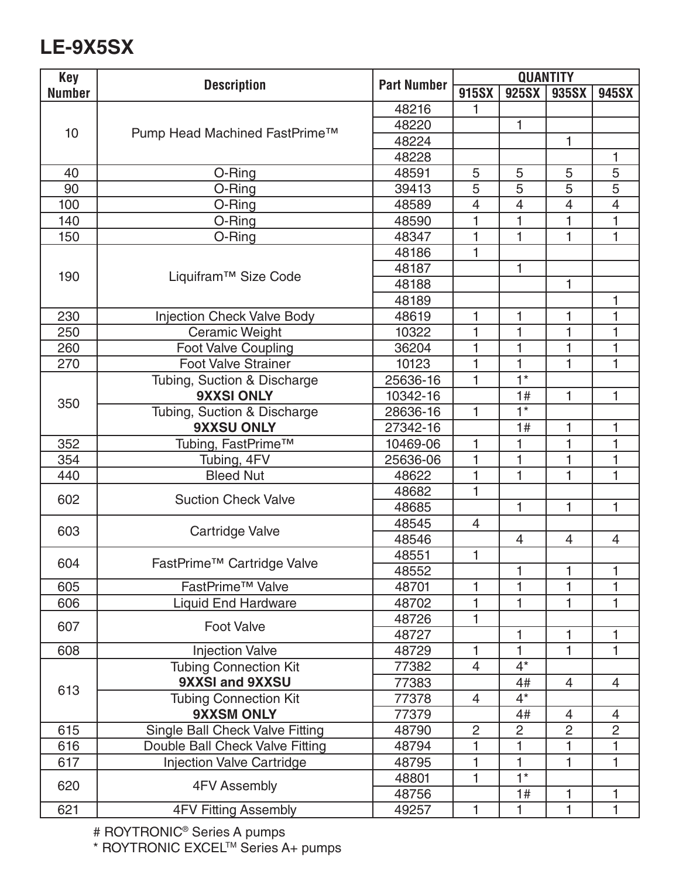# **LE-9X5SX**

| <b>Key</b>    | <b>Description</b>                     | <b>Part Number</b> | <b>QUANTITY</b> |                |                |                          |
|---------------|----------------------------------------|--------------------|-----------------|----------------|----------------|--------------------------|
| <b>Number</b> |                                        |                    | 915SX           | 925SX          | 935SX          | 945SX                    |
| 10            | Pump Head Machined FastPrime™          | 48216              | 1               |                |                |                          |
|               |                                        | 48220              |                 | 1              |                |                          |
|               |                                        | 48224              |                 |                | $\mathbf{1}$   |                          |
|               |                                        | 48228              |                 |                |                | 1                        |
| 40            | O-Ring                                 | 48591              | 5               | 5              | 5              | 5                        |
| 90            | O-Ring                                 | 39413              | 5               | 5              | 5              | 5                        |
| 100           | O-Ring                                 | 48589              | $\overline{4}$  | $\overline{4}$ | $\overline{4}$ | $\overline{\mathcal{L}}$ |
| 140           | O-Ring                                 | 48590              | 1               | 1              | 1              | 1                        |
| 150           | O-Ring                                 | 48347              | 1               | 1              | 1              | 1                        |
| 190           | Liquifram <sup>™</sup> Size Code       | 48186              | 1               |                |                |                          |
|               |                                        | 48187              |                 | $\mathbf{1}$   |                |                          |
|               |                                        | 48188              |                 |                | 1              |                          |
|               |                                        | 48189              |                 |                |                | 1                        |
| 230           | <b>Injection Check Valve Body</b>      | 48619              | 1               | 1              | 1              | 1                        |
| 250           | Ceramic Weight                         | 10322              | 1               | 1              | 1              | 1                        |
| 260           | <b>Foot Valve Coupling</b>             | 36204              | 1               | 1              | 1              | 1                        |
| 270           | <b>Foot Valve Strainer</b>             | 10123              | $\mathbf 1$     | $\mathbf{1}$   | 1              | $\mathbf{1}$             |
| 350           | Tubing, Suction & Discharge            | 25636-16           | 1               | $1*$           |                |                          |
|               | <b>9XXSI ONLY</b>                      | 10342-16           |                 | 1#             | 1              | 1                        |
|               | Tubing, Suction & Discharge            | 28636-16           | 1               | $1*$           |                |                          |
|               | 9XXSU ONLY                             | 27342-16           |                 | 1#             | 1              | 1                        |
| 352           | Tubing, FastPrime™                     | 10469-06           | 1               | 1              | 1              | 1                        |
| 354           | Tubing, 4FV                            | 25636-06           | 1               | 1              | 1              | 1                        |
| 440           | <b>Bleed Nut</b>                       | 48622              | 1               | 1              | 1              | 1                        |
| 602           | <b>Suction Check Valve</b>             | 48682              | 1               |                |                |                          |
|               |                                        | 48685              |                 | $\mathbf{1}$   | 1              | $\mathbf{1}$             |
| 603           | Cartridge Valve                        | 48545              | 4               |                |                |                          |
|               |                                        | 48546              |                 | $\overline{4}$ | 4              | $\overline{4}$           |
| 604           | FastPrime <sup>™</sup> Cartridge Valve | 48551              | 1               |                |                |                          |
|               |                                        | 48552              |                 |                |                |                          |
| 605           | FastPrime <sup>™</sup> Valve           | 48701              | 1               | $\mathbf{1}$   | 1              | $\mathbf{1}$             |
| 606           | <b>Liquid End Hardware</b>             | 48702              | 1               | 1              | 1              | 1                        |
| 607           | <b>Foot Valve</b>                      | 48726              | 1               |                |                |                          |
|               |                                        | 48727              |                 | 1              | 1              | 1                        |
| 608           | <b>Injection Valve</b>                 | 48729              | 1               | 1              | 1              | 1                        |
| 613           | <b>Tubing Connection Kit</b>           | 77382              | $\overline{4}$  | $4^*$          |                |                          |
|               | 9XXSI and 9XXSU                        | 77383              |                 | 4#             | $\overline{4}$ | $\overline{4}$           |
|               | <b>Tubing Connection Kit</b>           | 77378              | 4               | $4^*$          |                |                          |
|               | <b>9XXSM ONLY</b>                      | 77379              |                 | 4#             | $\overline{4}$ | $\overline{4}$           |
| 615           | Single Ball Check Valve Fitting        | 48790              | $\overline{c}$  | $\overline{c}$ | $\overline{c}$ | $\overline{c}$           |
| 616           | Double Ball Check Valve Fitting        | 48794              | 1               | 1              | 1              | 1                        |
| 617           | <b>Injection Valve Cartridge</b>       | 48795              | 1               | $\mathbf 1$    | 1              | 1                        |
| 620           | 4FV Assembly                           | 48801              | 1               | $1*$           |                |                          |
|               |                                        | 48756              |                 | 1#             | 1              | 1                        |
| 621           | 4FV Fitting Assembly                   | 49257              | 1               | 1              | 1              | 1                        |

# ROYTRONIC® Series A pumps

\* ROYTRONIC EXCELTM Series A+ pumps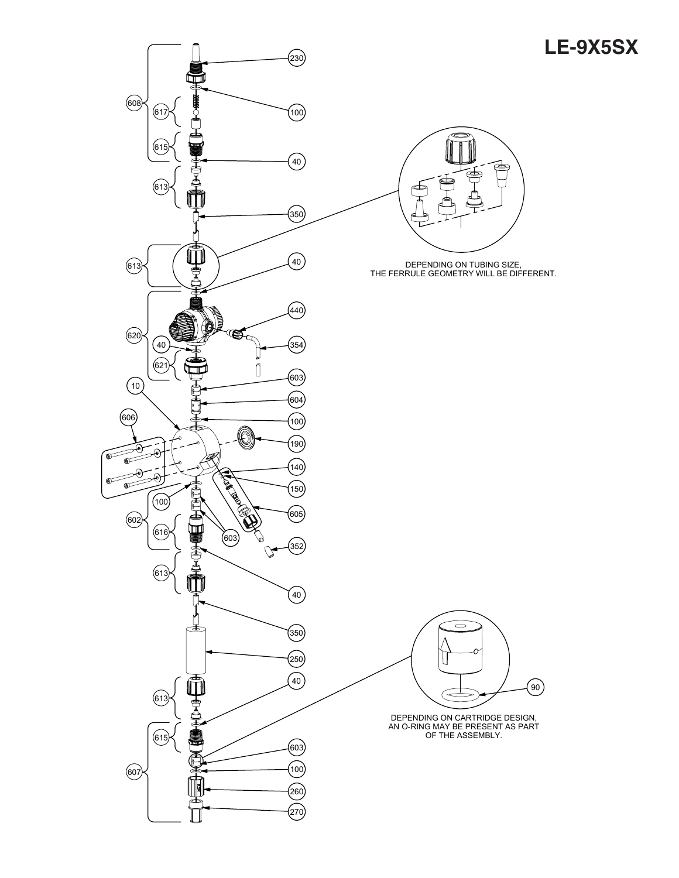